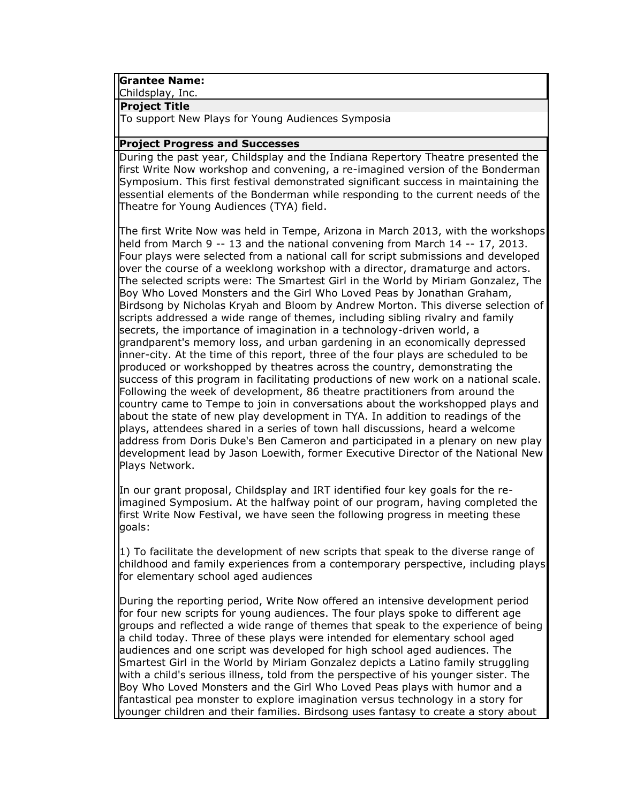### **Grantee Name:**

Childsplay, Inc.

#### **Project Title**

To support New Plays for Young Audiences Symposia

### **Project Progress and Successes**

During the past year, Childsplay and the Indiana Repertory Theatre presented the first Write Now workshop and convening, a re-imagined version of the Bonderman Symposium. This first festival demonstrated significant success in maintaining the essential elements of the Bonderman while responding to the current needs of the Theatre for Young Audiences (TYA) field.

The first Write Now was held in Tempe, Arizona in March 2013, with the workshops held from March 9 -- 13 and the national convening from March 14 -- 17, 2013. Four plays were selected from a national call for script submissions and developed over the course of a weeklong workshop with a director, dramaturge and actors. The selected scripts were: The Smartest Girl in the World by Miriam Gonzalez, The Boy Who Loved Monsters and the Girl Who Loved Peas by Jonathan Graham, Birdsong by Nicholas Kryah and Bloom by Andrew Morton. This diverse selection of scripts addressed a wide range of themes, including sibling rivalry and family secrets, the importance of imagination in a technology-driven world, a grandparent's memory loss, and urban gardening in an economically depressed inner-city. At the time of this report, three of the four plays are scheduled to be produced or workshopped by theatres across the country, demonstrating the success of this program in facilitating productions of new work on a national scale. Following the week of development, 86 theatre practitioners from around the country came to Tempe to join in conversations about the workshopped plays and about the state of new play development in TYA. In addition to readings of the plays, attendees shared in a series of town hall discussions, heard a welcome address from Doris Duke's Ben Cameron and participated in a plenary on new play development lead by Jason Loewith, former Executive Director of the National New Plays Network.

In our grant proposal, Childsplay and IRT identified four key goals for the reimagined Symposium. At the halfway point of our program, having completed the first Write Now Festival, we have seen the following progress in meeting these goals:

1) To facilitate the development of new scripts that speak to the diverse range of childhood and family experiences from a contemporary perspective, including plays for elementary school aged audiences

During the reporting period, Write Now offered an intensive development period for four new scripts for young audiences. The four plays spoke to different age groups and reflected a wide range of themes that speak to the experience of being a child today. Three of these plays were intended for elementary school aged audiences and one script was developed for high school aged audiences. The Smartest Girl in the World by Miriam Gonzalez depicts a Latino family struggling with a child's serious illness, told from the perspective of his younger sister. The Boy Who Loved Monsters and the Girl Who Loved Peas plays with humor and a fantastical pea monster to explore imagination versus technology in a story for younger children and their families. Birdsong uses fantasy to create a story about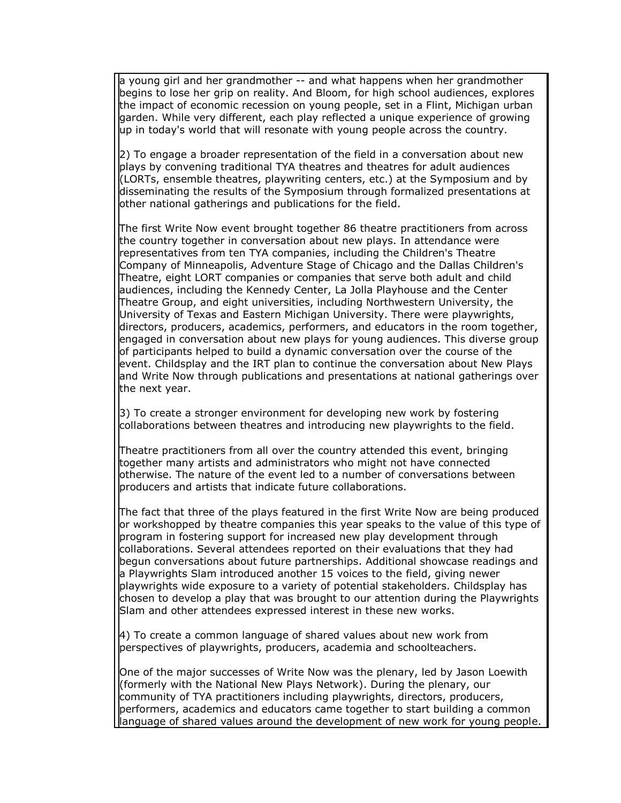a young girl and her grandmother -- and what happens when her grandmother begins to lose her grip on reality. And Bloom, for high school audiences, explores the impact of economic recession on young people, set in a Flint, Michigan urban garden. While very different, each play reflected a unique experience of growing up in today's world that will resonate with young people across the country.

2) To engage a broader representation of the field in a conversation about new plays by convening traditional TYA theatres and theatres for adult audiences (LORTs, ensemble theatres, playwriting centers, etc.) at the Symposium and by disseminating the results of the Symposium through formalized presentations at other national gatherings and publications for the field.

The first Write Now event brought together 86 theatre practitioners from across the country together in conversation about new plays. In attendance were representatives from ten TYA companies, including the Children's Theatre Company of Minneapolis, Adventure Stage of Chicago and the Dallas Children's Theatre, eight LORT companies or companies that serve both adult and child audiences, including the Kennedy Center, La Jolla Playhouse and the Center Theatre Group, and eight universities, including Northwestern University, the University of Texas and Eastern Michigan University. There were playwrights, directors, producers, academics, performers, and educators in the room together, engaged in conversation about new plays for young audiences. This diverse group of participants helped to build a dynamic conversation over the course of the event. Childsplay and the IRT plan to continue the conversation about New Plays and Write Now through publications and presentations at national gatherings over the next year.

3) To create a stronger environment for developing new work by fostering collaborations between theatres and introducing new playwrights to the field.

Theatre practitioners from all over the country attended this event, bringing together many artists and administrators who might not have connected otherwise. The nature of the event led to a number of conversations between producers and artists that indicate future collaborations.

The fact that three of the plays featured in the first Write Now are being produced or workshopped by theatre companies this year speaks to the value of this type of program in fostering support for increased new play development through collaborations. Several attendees reported on their evaluations that they had begun conversations about future partnerships. Additional showcase readings and a Playwrights Slam introduced another 15 voices to the field, giving newer playwrights wide exposure to a variety of potential stakeholders. Childsplay has chosen to develop a play that was brought to our attention during the Playwrights Slam and other attendees expressed interest in these new works.

4) To create a common language of shared values about new work from perspectives of playwrights, producers, academia and schoolteachers.

One of the major successes of Write Now was the plenary, led by Jason Loewith (formerly with the National New Plays Network). During the plenary, our community of TYA practitioners including playwrights, directors, producers, performers, academics and educators came together to start building a common language of shared values around the development of new work for young people.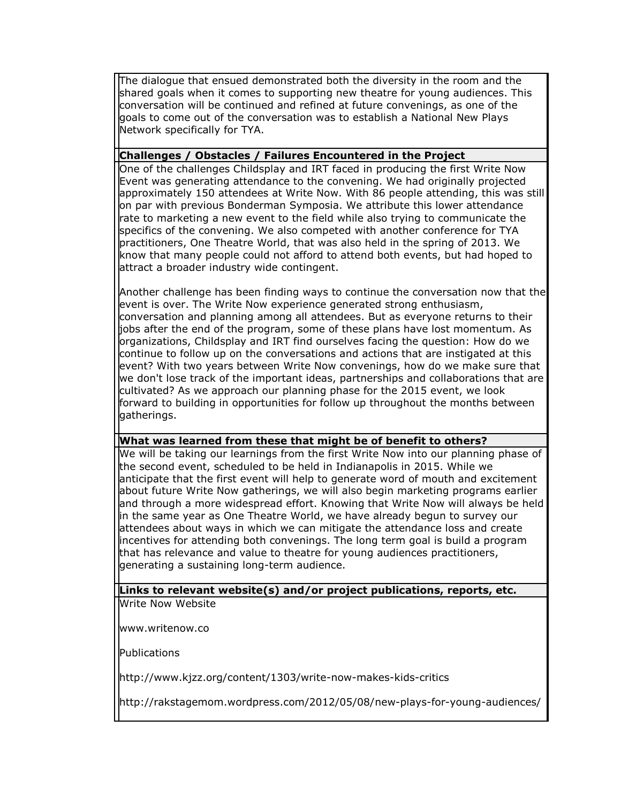The dialogue that ensued demonstrated both the diversity in the room and the shared goals when it comes to supporting new theatre for young audiences. This conversation will be continued and refined at future convenings, as one of the goals to come out of the conversation was to establish a National New Plays Network specifically for TYA.

# **Challenges / Obstacles / Failures Encountered in the Project**

One of the challenges Childsplay and IRT faced in producing the first Write Now Event was generating attendance to the convening. We had originally projected approximately 150 attendees at Write Now. With 86 people attending, this was still on par with previous Bonderman Symposia. We attribute this lower attendance rate to marketing a new event to the field while also trying to communicate the specifics of the convening. We also competed with another conference for TYA practitioners, One Theatre World, that was also held in the spring of 2013. We know that many people could not afford to attend both events, but had hoped to attract a broader industry wide contingent.

Another challenge has been finding ways to continue the conversation now that the event is over. The Write Now experience generated strong enthusiasm, conversation and planning among all attendees. But as everyone returns to their jobs after the end of the program, some of these plans have lost momentum. As organizations, Childsplay and IRT find ourselves facing the question: How do we continue to follow up on the conversations and actions that are instigated at this event? With two years between Write Now convenings, how do we make sure that we don't lose track of the important ideas, partnerships and collaborations that are cultivated? As we approach our planning phase for the 2015 event, we look forward to building in opportunities for follow up throughout the months between gatherings.

# **What was learned from these that might be of benefit to others?**

We will be taking our learnings from the first Write Now into our planning phase of the second event, scheduled to be held in Indianapolis in 2015. While we anticipate that the first event will help to generate word of mouth and excitement about future Write Now gatherings, we will also begin marketing programs earlier and through a more widespread effort. Knowing that Write Now will always be held in the same year as One Theatre World, we have already begun to survey our attendees about ways in which we can mitigate the attendance loss and create incentives for attending both convenings. The long term goal is build a program that has relevance and value to theatre for young audiences practitioners, generating a sustaining long-term audience.

#### **Links to relevant website(s) and/or project publications, reports, etc.** Write Now Website

www.writenow.co

Publications

http://www.kjzz.org/content/1303/write-now-makes-kids-critics

http://rakstagemom.wordpress.com/2012/05/08/new-plays-for-young-audiences/